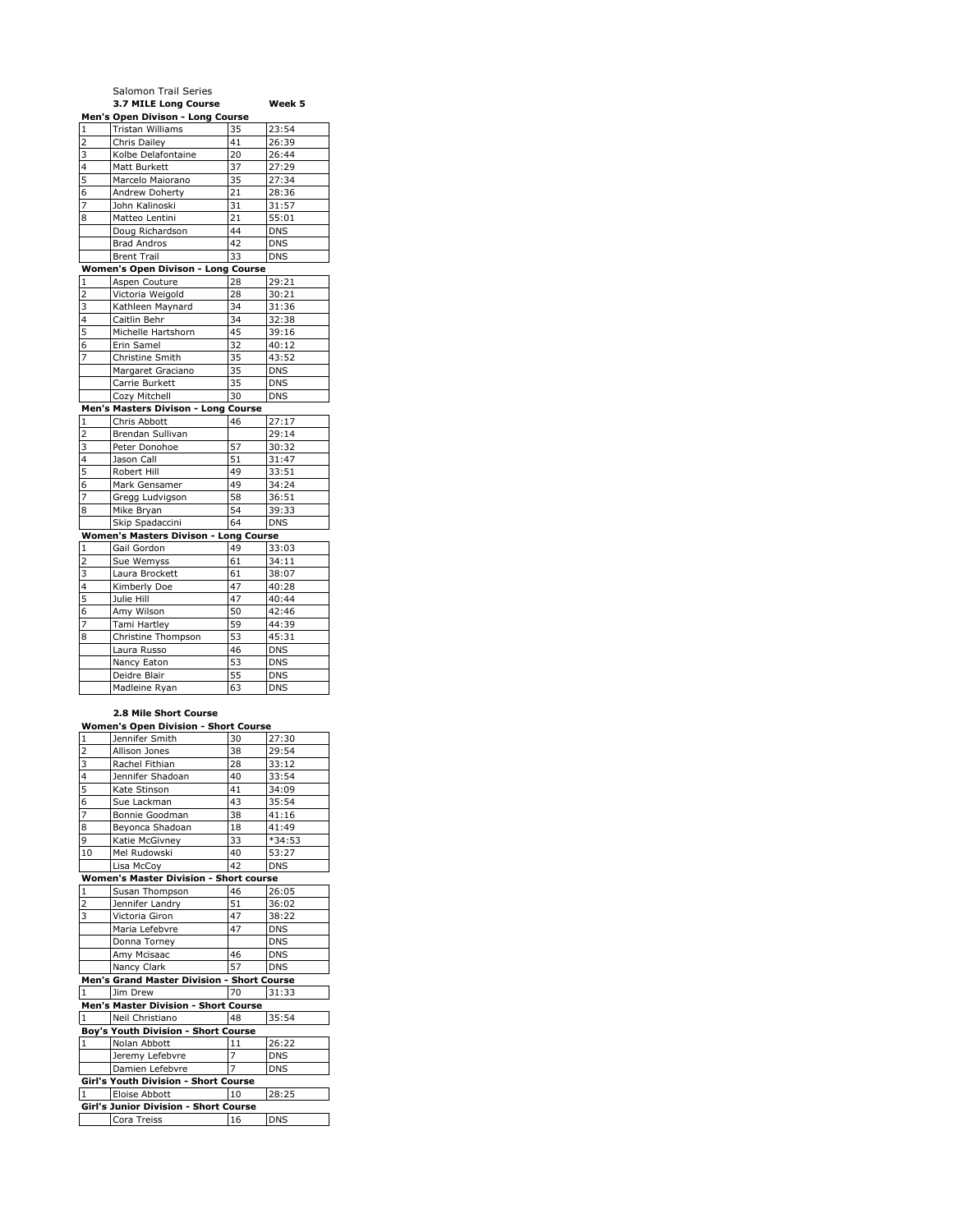|                                                               | Salomon Trail Series<br>3.7 MILE Long Course             |          | Week 5                   |  |  |
|---------------------------------------------------------------|----------------------------------------------------------|----------|--------------------------|--|--|
|                                                               | Men's Open Divison - Long Course                         |          |                          |  |  |
| $\mathbf{1}$                                                  | Tristan Williams                                         | 35       | 23:54                    |  |  |
| 2                                                             | Chris Dailey                                             | 41       | 26:39                    |  |  |
| 3                                                             | Kolbe Delafontaine                                       | 20       | 26:44                    |  |  |
| $\overline{\mathbf{4}}$                                       | Matt Burkett                                             | 37       | 27:29                    |  |  |
| 5                                                             | Marcelo Maiorano                                         | 35       | 27:34                    |  |  |
| 6                                                             | Andrew Doherty                                           | 21       | 28:36                    |  |  |
| 7                                                             | John Kalinoski                                           | 31       | 31:57                    |  |  |
| 8                                                             | Matteo Lentini                                           | 21       | 55:01                    |  |  |
|                                                               | Doug Richardson<br><b>Brad Andros</b>                    | 44<br>42 | <b>DNS</b><br><b>DNS</b> |  |  |
|                                                               | <b>Brent Trail</b>                                       | 33       | <b>DNS</b>               |  |  |
|                                                               | Women's Open Divison - Long Course                       |          |                          |  |  |
| 1                                                             | Aspen Couture                                            | 28       | 29:21                    |  |  |
| 2                                                             | Victoria Weigold                                         | 28       | 30:21                    |  |  |
| 3                                                             | Kathleen Maynard                                         | 34       | 31:36                    |  |  |
| 4                                                             | Caitlin Behr                                             | 34       | 32:38                    |  |  |
| 5                                                             | Michelle Hartshorn                                       | 45       | 39:16                    |  |  |
| 6                                                             | Erin Samel                                               | 32       | 40:12                    |  |  |
| 7                                                             | Christine Smith                                          | 35       | 43:52                    |  |  |
|                                                               | Margaret Graciano                                        | 35       | <b>DNS</b>               |  |  |
|                                                               | Carrie Burkett                                           | 35       | <b>DNS</b>               |  |  |
|                                                               | Cozy Mitchell                                            | 30       | <b>DNS</b>               |  |  |
|                                                               | Men's Masters Divison - Long Course                      |          |                          |  |  |
| $\mathbf{1}$                                                  | Chris Abbott                                             | 46       | 27:17                    |  |  |
| 2                                                             | Brendan Sullivan                                         |          | 29:14                    |  |  |
| 3                                                             | Peter Donohoe                                            | 57       | 30:32                    |  |  |
| 4                                                             | Jason Call                                               | 51       | 31:47                    |  |  |
| 5                                                             | Robert Hill                                              | 49       | 33:51                    |  |  |
| 6                                                             | Mark Gensamer                                            | 49       | 34:24                    |  |  |
| 7                                                             | Gregg Ludvigson                                          | 58       | 36:51                    |  |  |
| 8                                                             | Mike Bryan                                               | 54       | 39:33                    |  |  |
|                                                               | Skip Spadaccini                                          | 64       | <b>DNS</b>               |  |  |
|                                                               | Women's Masters Divison - Long Course                    |          |                          |  |  |
| 1<br>2                                                        | Gail Gordon<br>Sue Wemyss                                | 49<br>61 | 33:03<br>34:11           |  |  |
| 3                                                             | Laura Brockett                                           | 61       | 38:07                    |  |  |
| 4                                                             | Kimberly Doe                                             | 47       | 40:28                    |  |  |
| 5                                                             | Julie Hill                                               | 47       | 40:44                    |  |  |
| 6                                                             | Amy Wilson                                               | 50       | 42:46                    |  |  |
| 7                                                             | Tami Hartley                                             | 59       | 44:39                    |  |  |
| 8                                                             | Christine Thompson                                       | 53       | 45:31                    |  |  |
|                                                               | Laura Russo                                              | 46       | DNS                      |  |  |
|                                                               | Nancy Eaton                                              | 53       | <b>DNS</b>               |  |  |
|                                                               | Deidre Blair                                             | 55       | <b>DNS</b>               |  |  |
|                                                               | Madleine Ryan                                            | 63       | DNS                      |  |  |
| 2.8 Mile Short Course<br>Women's Open Division - Short Course |                                                          |          |                          |  |  |
| 1                                                             | Jennifer Smith                                           | 30       | 27:30                    |  |  |
| $\overline{2}$                                                | Allison Jones                                            | 38       | 29:54                    |  |  |
| 3                                                             | Rachel Fithian                                           | 28       | 33:12                    |  |  |
| l<br>4                                                        | Jennifer Shadoan                                         | 40       | 33:54                    |  |  |
| 5                                                             | Kate Stinson                                             | 41       | 34:09                    |  |  |
| 6                                                             | Sue Lackman                                              | 43       | 35:54                    |  |  |
| 7                                                             | Bonnie Goodman                                           | 38       | 41:16                    |  |  |
| 8                                                             | Beyonca Shadoan                                          | 18       | 41:49                    |  |  |
| 9                                                             | Katie McGivney                                           | 33       | *34:53                   |  |  |
| 10                                                            | Mel Rudowski                                             | 40       | 53:27                    |  |  |
|                                                               | Lisa McCoy                                               | 42       | <b>DNS</b>               |  |  |
| 1                                                             | Women's Master Division - Short course<br>Susan Thompson | 46       | 26:05                    |  |  |
| 2                                                             | Jennifer Landry                                          | 51       | 36:02                    |  |  |
| 3                                                             | Victoria Giron                                           | 47       | 38:22                    |  |  |
|                                                               | Maria Lefebvre                                           | 47       | <b>DNS</b>               |  |  |
|                                                               | Donna Torney                                             |          | <b>DNS</b>               |  |  |
|                                                               | Amy Mcisaac                                              | 46       | DNS                      |  |  |
|                                                               | Nancy Clark                                              | 57       | DNS                      |  |  |
|                                                               |                                                          |          |                          |  |  |

|                                              | Amy Mcisaac                                       | 46 | <b>DNS</b> |  |  |
|----------------------------------------------|---------------------------------------------------|----|------------|--|--|
|                                              | Nancy Clark                                       | 57 | <b>DNS</b> |  |  |
|                                              | <b>Men's Grand Master Division - Short Course</b> |    |            |  |  |
|                                              | Jim Drew                                          | 70 | 31:33      |  |  |
| <b>Men's Master Division - Short Course</b>  |                                                   |    |            |  |  |
|                                              | Neil Christiano                                   | 48 | 35:54      |  |  |
| <b>Boy's Youth Division - Short Course</b>   |                                                   |    |            |  |  |
|                                              | Nolan Abbott                                      | 11 | 26:22      |  |  |
|                                              | Jeremy Lefebvre                                   |    | <b>DNS</b> |  |  |
|                                              | Damien Lefebvre                                   |    | <b>DNS</b> |  |  |
| Girl's Youth Division - Short Course         |                                                   |    |            |  |  |
|                                              | Eloise Abbott                                     | 10 | 28:25      |  |  |
| <b>Girl's Junior Division - Short Course</b> |                                                   |    |            |  |  |

Cora Treiss 16 DNS